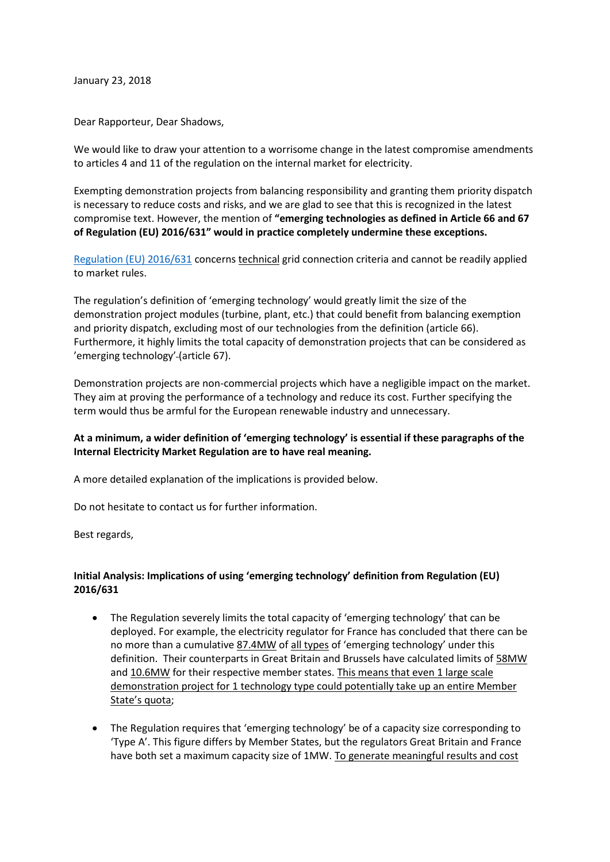January 23, 2018

Dear Rapporteur, Dear Shadows,

We would like to draw your attention to a worrisome change in the latest compromise amendments to articles 4 and 11 of the regulation on the internal market for electricity.

Exempting demonstration projects from balancing responsibility and granting them priority dispatch is necessary to reduce costs and risks, and we are glad to see that this is recognized in the latest compromise text. However, the mention of **"emerging technologies as defined in Article 66 and 67 of Regulation (EU) 2016/631" would in practice completely undermine these exceptions.** 

[Regulation \(EU\) 2016/631](http://eur-lex.europa.eu/legal-content/EN/TXT/PDF/?uri=CELEX:32016R0631&from=EN) concerns technical grid connection criteria and cannot be readily applied to market rules.

The regulation's definition of 'emerging technology' would greatly limit the size of the demonstration project modules (turbine, plant, etc.) that could benefit from balancing exemption and priority dispatch, excluding most of our technologies from the definition (article 66). Furthermore, it highly limits the total capacity of demonstration projects that can be considered as 'emerging technology' (article 67).

Demonstration projects are non-commercial projects which have a negligible impact on the market. They aim at proving the performance of a technology and reduce its cost. Further specifying the term would thus be armful for the European renewable industry and unnecessary.

## **At a minimum, a wider definition of 'emerging technology' is essential if these paragraphs of the Internal Electricity Market Regulation are to have real meaning.**

A more detailed explanation of the implications is provided below.

Do not hesitate to contact us for further information.

Best regards,

## **Initial Analysis: Implications of using 'emerging technology' definition from Regulation (EU) 2016/631**

- The Regulation severely limits the total capacity of 'emerging technology' that can be deployed. For example, the electricity regulator for France has concluded that there can be no more than a cumulative [87.4MW](http://www.cre.fr/reseaux/reseaux-publics-d-electricite/codes-de-reseau-europeens-en-electricite#section4_2) of all types of 'emerging technology' under this definition. Their counterparts in Great Britain and Brussels have calculated limits of [58MW](https://www.ofgem.gov.uk/system/files/docs/2016/08/rfg_emerging_technologies_guidance.pdf) and [10.6MW](https://www.brugel.brussels/publication/document/decisions/2017/fr/decision-51.pdf) for their respective member states. This means that even 1 large scale demonstration project for 1 technology type could potentially take up an entire Member State's quota;
- The Regulation requires that 'emerging technology' be of a capacity size corresponding to 'Type A'. This figure differs by Member States, but the regulators Great Britain and France have both set a maximum capacity size of 1MW. To generate meaningful results and cost